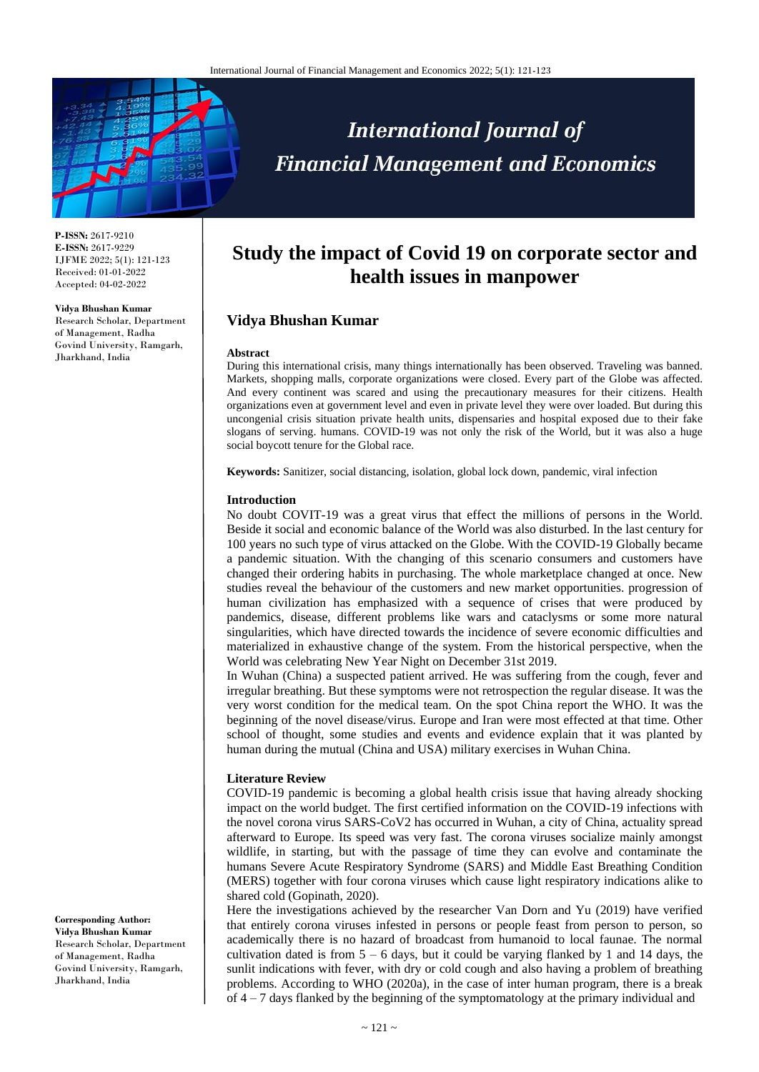

# **International Journal of Financial Management and Economics**

**P-ISSN:** 2617-9210 **E-ISSN:** 2617-9229 IJFME 2022; 5(1): 121-123 Received: 01-01-2022 Accepted: 04-02-2022

#### **Vidya Bhushan Kumar** Research Scholar, Department of Management, Radha Govind University, Ramgarh, Jharkhand, India

## **Study the impact of Covid 19 on corporate sector and health issues in manpower**

### **Vidya Bhushan Kumar**

#### **Abstract**

During this international crisis, many things internationally has been observed. Traveling was banned. Markets, shopping malls, corporate organizations were closed. Every part of the Globe was affected. And every continent was scared and using the precautionary measures for their citizens. Health organizations even at government level and even in private level they were over loaded. But during this uncongenial crisis situation private health units, dispensaries and hospital exposed due to their fake slogans of serving. humans. COVID-19 was not only the risk of the World, but it was also a huge social boycott tenure for the Global race.

**Keywords:** Sanitizer, social distancing, isolation, global lock down, pandemic, viral infection

#### **Introduction**

No doubt COVIT-19 was a great virus that effect the millions of persons in the World. Beside it social and economic balance of the World was also disturbed. In the last century for 100 years no such type of virus attacked on the Globe. With the COVID-19 Globally became a pandemic situation. With the changing of this scenario consumers and customers have changed their ordering habits in purchasing. The whole marketplace changed at once. New studies reveal the behaviour of the customers and new market opportunities. progression of human civilization has emphasized with a sequence of crises that were produced by pandemics, disease, different problems like wars and cataclysms or some more natural singularities, which have directed towards the incidence of severe economic difficulties and materialized in exhaustive change of the system. From the historical perspective, when the World was celebrating New Year Night on December 31st 2019.

In Wuhan (China) a suspected patient arrived. He was suffering from the cough, fever and irregular breathing. But these symptoms were not retrospection the regular disease. It was the very worst condition for the medical team. On the spot China report the WHO. It was the beginning of the novel disease/virus. Europe and Iran were most effected at that time. Other school of thought, some studies and events and evidence explain that it was planted by human during the mutual (China and USA) military exercises in Wuhan China.

#### **Literature Review**

COVID-19 pandemic is becoming a global health crisis issue that having already shocking impact on the world budget. The first certified information on the COVID-19 infections with the novel corona virus SARS-CoV2 has occurred in Wuhan, a city of China, actuality spread afterward to Europe. Its speed was very fast. The corona viruses socialize mainly amongst wildlife, in starting, but with the passage of time they can evolve and contaminate the humans Severe Acute Respiratory Syndrome (SARS) and Middle East Breathing Condition (MERS) together with four corona viruses which cause light respiratory indications alike to shared cold (Gopinath, 2020).

Here the investigations achieved by the researcher Van Dorn and Yu (2019) have verified that entirely corona viruses infested in persons or people feast from person to person, so academically there is no hazard of broadcast from humanoid to local faunae. The normal cultivation dated is from  $5 - 6$  days, but it could be varying flanked by 1 and 14 days, the sunlit indications with fever, with dry or cold cough and also having a problem of breathing problems. According to WHO (2020a), in the case of inter human program, there is a break of 4 – 7 days flanked by the beginning of the symptomatology at the primary individual and

**Corresponding Author: Vidya Bhushan Kumar** Research Scholar, Department of Management, Radha Govind University, Ramgarh, Jharkhand, India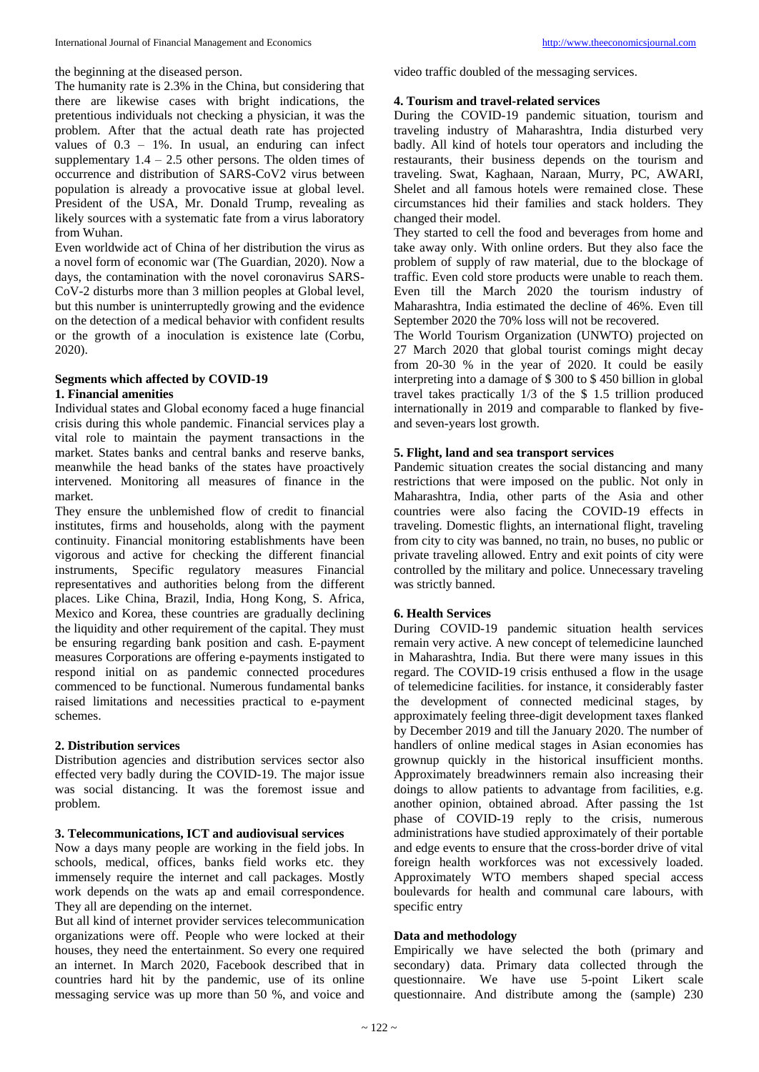The humanity rate is 2.3% in the China, but considering that there are likewise cases with bright indications, the pretentious individuals not checking a physician, it was the problem. After that the actual death rate has projected values of  $0.3 - 1\%$ . In usual, an enduring can infect supplementary  $1.4 - 2.5$  other persons. The olden times of occurrence and distribution of SARS-CoV2 virus between population is already a provocative issue at global level. President of the USA, Mr. Donald Trump, revealing as likely sources with a systematic fate from a virus laboratory from Wuhan.

Even worldwide act of China of her distribution the virus as a novel form of economic war (The Guardian, 2020). Now a days, the contamination with the novel coronavirus SARS-CoV-2 disturbs more than 3 million peoples at Global level, but this number is uninterruptedly growing and the evidence on the detection of a medical behavior with confident results or the growth of a inoculation is existence late (Corbu, 2020).

#### **Segments which affected by COVID-19**

#### **1. Financial amenities**

Individual states and Global economy faced a huge financial crisis during this whole pandemic. Financial services play a vital role to maintain the payment transactions in the market. States banks and central banks and reserve banks, meanwhile the head banks of the states have proactively intervened. Monitoring all measures of finance in the market.

They ensure the unblemished flow of credit to financial institutes, firms and households, along with the payment continuity. Financial monitoring establishments have been vigorous and active for checking the different financial instruments, Specific regulatory measures Financial representatives and authorities belong from the different places. Like China, Brazil, India, Hong Kong, S. Africa, Mexico and Korea, these countries are gradually declining the liquidity and other requirement of the capital. They must be ensuring regarding bank position and cash. E-payment measures Corporations are offering e-payments instigated to respond initial on as pandemic connected procedures commenced to be functional. Numerous fundamental banks raised limitations and necessities practical to e-payment schemes.

#### **2. Distribution services**

Distribution agencies and distribution services sector also effected very badly during the COVID-19. The major issue was social distancing. It was the foremost issue and problem.

#### **3. Telecommunications, ICT and audiovisual services**

Now a days many people are working in the field jobs. In schools, medical, offices, banks field works etc. they immensely require the internet and call packages. Mostly work depends on the wats ap and email correspondence. They all are depending on the internet.

But all kind of internet provider services telecommunication organizations were off. People who were locked at their houses, they need the entertainment. So every one required an internet. In March 2020, Facebook described that in countries hard hit by the pandemic, use of its online messaging service was up more than 50 %, and voice and

video traffic doubled of the messaging services.

#### **4. Tourism and travel-related services**

During the COVID-19 pandemic situation, tourism and traveling industry of Maharashtra, India disturbed very badly. All kind of hotels tour operators and including the restaurants, their business depends on the tourism and traveling. Swat, Kaghaan, Naraan, Murry, PC, AWARI, Shelet and all famous hotels were remained close. These circumstances hid their families and stack holders. They changed their model.

They started to cell the food and beverages from home and take away only. With online orders. But they also face the problem of supply of raw material, due to the blockage of traffic. Even cold store products were unable to reach them. Even till the March 2020 the tourism industry of Maharashtra, India estimated the decline of 46%. Even till September 2020 the 70% loss will not be recovered.

The World Tourism Organization (UNWTO) projected on 27 March 2020 that global tourist comings might decay from 20-30 % in the year of 2020. It could be easily interpreting into a damage of \$ 300 to \$ 450 billion in global travel takes practically 1/3 of the \$ 1.5 trillion produced internationally in 2019 and comparable to flanked by fiveand seven-years lost growth.

#### **5. Flight, land and sea transport services**

Pandemic situation creates the social distancing and many restrictions that were imposed on the public. Not only in Maharashtra, India, other parts of the Asia and other countries were also facing the COVID-19 effects in traveling. Domestic flights, an international flight, traveling from city to city was banned, no train, no buses, no public or private traveling allowed. Entry and exit points of city were controlled by the military and police. Unnecessary traveling was strictly banned.

#### **6. Health Services**

During COVID-19 pandemic situation health services remain very active. A new concept of telemedicine launched in Maharashtra, India. But there were many issues in this regard. The COVID-19 crisis enthused a flow in the usage of telemedicine facilities. for instance, it considerably faster the development of connected medicinal stages, by approximately feeling three-digit development taxes flanked by December 2019 and till the January 2020. The number of handlers of online medical stages in Asian economies has grownup quickly in the historical insufficient months. Approximately breadwinners remain also increasing their doings to allow patients to advantage from facilities, e.g. another opinion, obtained abroad. After passing the 1st phase of COVID-19 reply to the crisis, numerous administrations have studied approximately of their portable and edge events to ensure that the cross-border drive of vital foreign health workforces was not excessively loaded. Approximately WTO members shaped special access boulevards for health and communal care labours, with specific entry

#### **Data and methodology**

Empirically we have selected the both (primary and secondary) data. Primary data collected through the questionnaire. We have use 5-point Likert scale questionnaire. And distribute among the (sample) 230